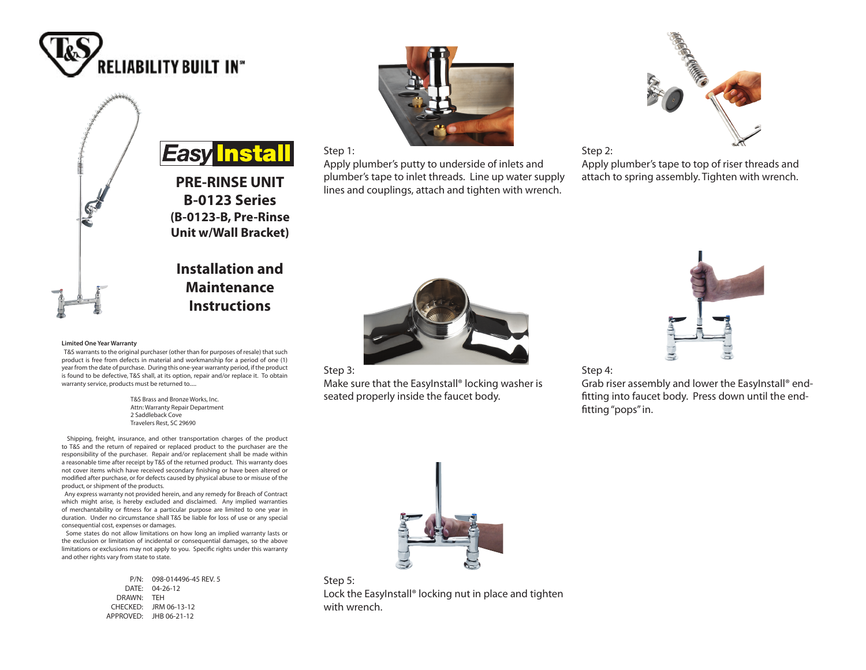



**(B-0123-B, Pre-Rinse Unit w/Wall Bracket)**

# **Installation and Maintenance Instructions**

#### **Limited One Year Warranty**

 T&S warrants to the original purchaser (other than for purposes of resale) that such product is free from defects in material and workmanship for a period of one (1) year from the date of purchase. During this one-year warranty period, if the product is found to be defective, T&S shall, at its option, repair and/or replace it. To obtain warranty service, products must be returned to.....

> T&S Brass and Bronze Works, Inc. Attn: Warranty Repair Department 2 Saddleback Cove Travelers Rest, SC 29690

 Shipping, freight, insurance, and other transportation charges of the product to T&S and the return of repaired or replaced product to the purchaser are the responsibility of the purchaser. Repair and/or replacement shall be made within a reasonable time after receipt by T&S of the returned product. This warranty does not cover items which have received secondary finishing or have been altered or modified after purchase, or for defects caused by physical abuse to or misuse of the product, or shipment of the products.

 Any express warranty not provided herein, and any remedy for Breach of Contract which might arise, is hereby excluded and disclaimed. Any implied warranties of merchantability or fitness for a particular purpose are limited to one year in duration. Under no circumstance shall T&S be liable for loss of use or any special consequential cost, expenses or damages.

 Some states do not allow limitations on how long an implied warranty lasts or the exclusion or limitation of incidental or consequential damages, so the above limitations or exclusions may not apply to you. Specific rights under this warranty and other rights vary from state to state.

> P/N: 098-014496-45 REV. 5 DATE: 04-26-12 DRAWN: TEH CHECKED: JRM 06-13-12 APPROVED: JHB 06-21-12



## Step 1:

Apply plumber's putty to underside of inlets and plumber's tape to inlet threads. Line up water supply lines and couplings, attach and tighten with wrench.



Step 2:

Apply plumber's tape to top of riser threads and attach to spring assembly. Tighten with wrench.



## Step 3:

Make sure that the EasyInstall® locking washer is seated properly inside the faucet body.



Step 4:

Grab riser assembly and lower the EasyInstall® endfitting into faucet body. Press down until the endfitting "pops" in.



Step 5: Lock the EasyInstall® locking nut in place and tighten with wrench.